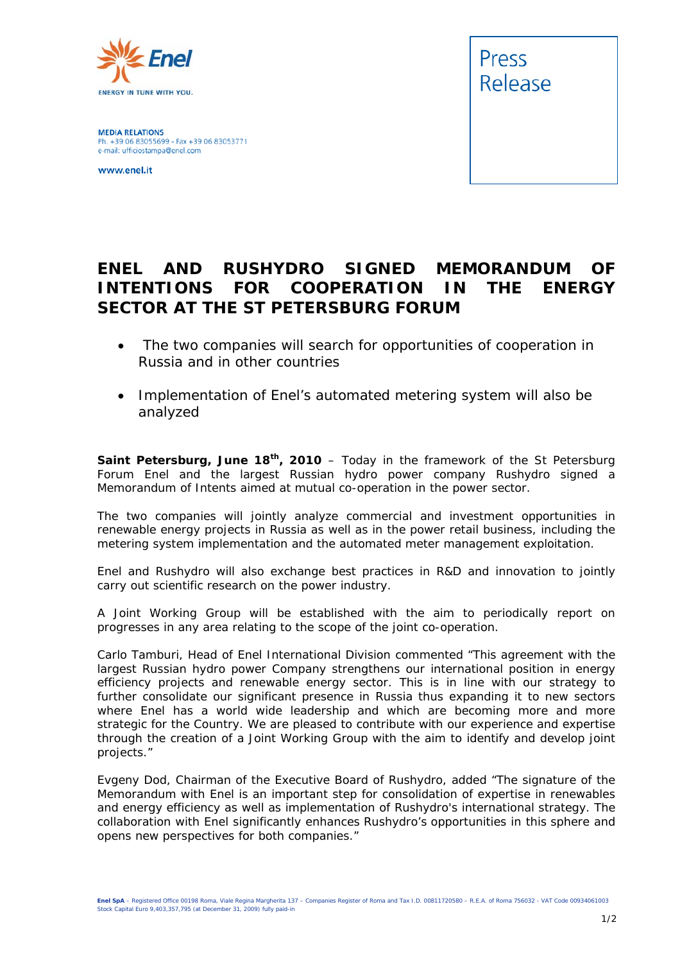

**MEDIA RELATIONS** Ph. +39 06 83055699 - Fax +39 06 83053771 e-mail: ufficiostampa@enel.com

www.enel.it



## **ENEL AND RUSHYDRO SIGNED MEMORANDUM OF INTENTIONS FOR COOPERATION IN THE ENERGY SECTOR AT THE ST PETERSBURG FORUM**

- • *The two companies will search for opportunities of cooperation in Russia and in other countries*
- *Implementation of Enel's automated metering system will also be analyzed*

**Saint Petersburg, June 18th, 2010** – Today in the framework of the St Petersburg Forum Enel and the largest Russian hydro power company Rushydro signed a Memorandum of Intents aimed at mutual co-operation in the power sector.

The two companies will jointly analyze commercial and investment opportunities in renewable energy projects in Russia as well as in the power retail business, including the metering system implementation and the automated meter management exploitation.

Enel and Rushydro will also exchange best practices in R&D and innovation to jointly carry out scientific research on the power industry.

A Joint Working Group will be established with the aim to periodically report on progresses in any area relating to the scope of the joint co-operation.

Carlo Tamburi, Head of Enel International Division commented "*This agreement with the largest Russian hydro power Company strengthens our international position in energy efficiency projects and renewable energy sector. This is in line with our strategy to further consolidate our significant presence in Russia thus expanding it to new sectors where Enel has a world wide leadership and which are becoming more and more strategic for the Country. We are pleased to contribute with our experience and expertise through the creation of a Joint Working Group with the aim to identify and develop joint projects."* 

Evgeny Dod, Chairman of the Executive Board of Rushydro, added "*The signature of the Memorandum with Enel is an important step for consolidation of expertise in renewables and energy efficiency as well as implementation of Rushydro's international strategy. The collaboration with Enel significantly enhances Rushydro's opportunities in this sphere and opens new perspectives for both companies.*"